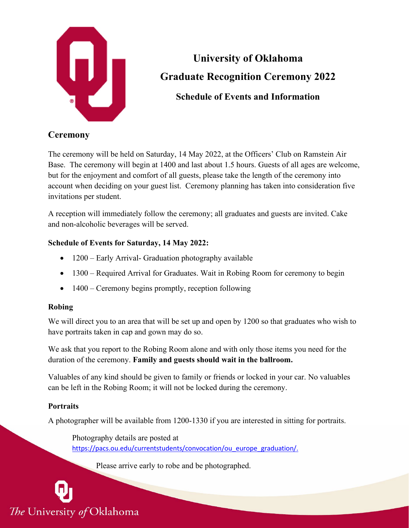

# **University of Oklahoma Graduate Recognition Ceremony 2022 Schedule of Events and Information**

## **Ceremony**

The ceremony will be held on Saturday, 14 May 2022, at the Officers' Club on Ramstein Air Base. The ceremony will begin at 1400 and last about 1.5 hours. Guests of all ages are welcome, but for the enjoyment and comfort of all guests, please take the length of the ceremony into account when deciding on your guest list. Ceremony planning has taken into consideration five invitations per student.

A reception will immediately follow the ceremony; all graduates and guests are invited. Cake and non-alcoholic beverages will be served.

## **Schedule of Events for Saturday, 14 May 2022:**

- 1200 Early Arrival- Graduation photography available
- 1300 Required Arrival for Graduates. Wait in Robing Room for ceremony to begin
- 1400 Ceremony begins promptly, reception following

## **Robing**

We will direct you to an area that will be set up and open by 1200 so that graduates who wish to have portraits taken in cap and gown may do so.

We ask that you report to the Robing Room alone and with only those items you need for the duration of the ceremony. **Family and guests should wait in the ballroom.**

Valuables of any kind should be given to family or friends or locked in your car. No valuables can be left in the Robing Room; it will not be locked during the ceremony.

## **Portraits**

A photographer will be available from 1200-1330 if you are interested in sitting for portraits.

Photography details are posted at [https://pacs.ou.edu/currentstudents/convocation/ou\\_europe\\_graduation/.](https://pacs.ou.edu/currentstudents/convocation/ou_europe_graduation/)

Please arrive early to robe and be photographed.